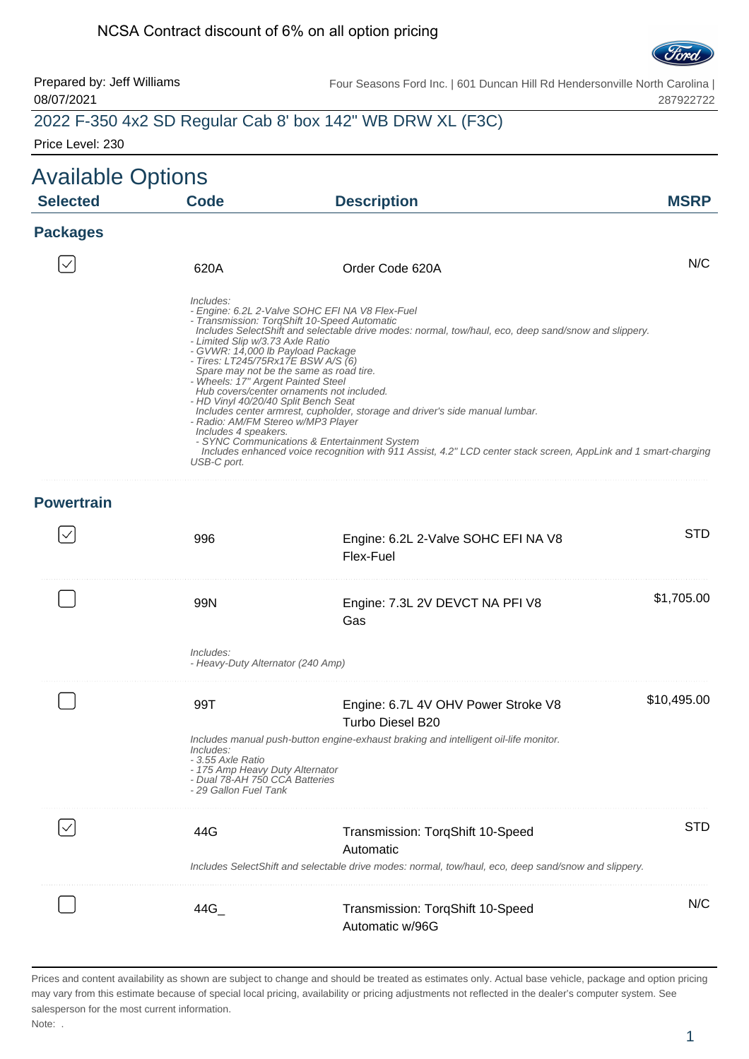#### NCSA Contract discount of 6% on all option pricing



#### Prepared by: Jeff Williams 08/07/2021 Four Seasons Ford Inc. | 601 Duncan Hill Rd Hendersonville North Carolina | 287922722 2022 F-350 4x2 SD Regular Cab 8' box 142" WB DRW XL (F3C)

Price Level: 230

| <b>Available Options</b><br><b>Selected</b> | <b>Code</b>                                                                                                                                                                                                                                                                         | <b>Description</b>                                                                                                                                                                                                                                                                                                                                                                                                                                                                                                                                 | <b>MSRP</b> |
|---------------------------------------------|-------------------------------------------------------------------------------------------------------------------------------------------------------------------------------------------------------------------------------------------------------------------------------------|----------------------------------------------------------------------------------------------------------------------------------------------------------------------------------------------------------------------------------------------------------------------------------------------------------------------------------------------------------------------------------------------------------------------------------------------------------------------------------------------------------------------------------------------------|-------------|
| <b>Packages</b>                             |                                                                                                                                                                                                                                                                                     |                                                                                                                                                                                                                                                                                                                                                                                                                                                                                                                                                    |             |
|                                             | 620A                                                                                                                                                                                                                                                                                | Order Code 620A                                                                                                                                                                                                                                                                                                                                                                                                                                                                                                                                    | N/C         |
|                                             | Includes:<br>- Limited Slip w/3.73 Axle Ratio<br>- GVWR: 14,000 lb Payload Package<br>- Tires: LT245/75Rx17E BSW A/S (6)<br>- Wheels: 17" Argent Painted Steel<br>- HD Vinyl 40/20/40 Split Bench Seat<br>- Radio: AM/FM Stereo w/MP3 Player<br>Includes 4 speakers.<br>USB-C port. | - Engine: 6.2L 2-Valve SOHC EFI NA V8 Flex-Fuel<br>- Transmission: TorqShift 10-Speed Automatic<br>Includes SelectShift and selectable drive modes: normal, tow/haul, eco, deep sand/snow and slippery.<br>Spare may not be the same as road tire.<br>Hub covers/center ornaments not included.<br>Includes center armrest, cupholder, storage and driver's side manual lumbar.<br>- SYNC Communications & Entertainment System<br>Includes enhanced voice recognition with 911 Assist, 4.2" LCD center stack screen, AppLink and 1 smart-charging |             |
| <b>Powertrain</b>                           |                                                                                                                                                                                                                                                                                     |                                                                                                                                                                                                                                                                                                                                                                                                                                                                                                                                                    |             |
|                                             | 996                                                                                                                                                                                                                                                                                 | Engine: 6.2L 2-Valve SOHC EFI NA V8<br>Flex-Fuel                                                                                                                                                                                                                                                                                                                                                                                                                                                                                                   | <b>STD</b>  |
|                                             | 99N                                                                                                                                                                                                                                                                                 | Engine: 7.3L 2V DEVCT NA PFI V8<br>Gas                                                                                                                                                                                                                                                                                                                                                                                                                                                                                                             | \$1,705.00  |
|                                             | Includes:<br>- Heavy-Duty Alternator (240 Amp)                                                                                                                                                                                                                                      |                                                                                                                                                                                                                                                                                                                                                                                                                                                                                                                                                    |             |
|                                             | 99T                                                                                                                                                                                                                                                                                 | Engine: 6.7L 4V OHV Power Stroke V8<br>Turbo Diesel B20                                                                                                                                                                                                                                                                                                                                                                                                                                                                                            | \$10,495.00 |
|                                             | Includes:<br>- 3.55 Axle Ratio<br>- 175 Amp Heavy Duty Alternator<br>- Dual 78-AH 750 CCA Batteries<br>- 29 Gallon Fuel Tank                                                                                                                                                        | Includes manual push-button engine-exhaust braking and intelligent oil-life monitor.                                                                                                                                                                                                                                                                                                                                                                                                                                                               |             |
|                                             | 44G                                                                                                                                                                                                                                                                                 | Transmission: TorqShift 10-Speed<br>Automatic                                                                                                                                                                                                                                                                                                                                                                                                                                                                                                      | STD.        |
|                                             |                                                                                                                                                                                                                                                                                     | Includes SelectShift and selectable drive modes: normal, tow/haul, eco, deep sand/snow and slippery.                                                                                                                                                                                                                                                                                                                                                                                                                                               |             |
|                                             | $44G_{-}$                                                                                                                                                                                                                                                                           | Transmission: TorqShift 10-Speed<br>Automatic w/96G                                                                                                                                                                                                                                                                                                                                                                                                                                                                                                | N/C         |

Prices and content availability as shown are subject to change and should be treated as estimates only. Actual base vehicle, package and option pricing may vary from this estimate because of special local pricing, availability or pricing adjustments not reflected in the dealer's computer system. See salesperson for the most current information.

Note: .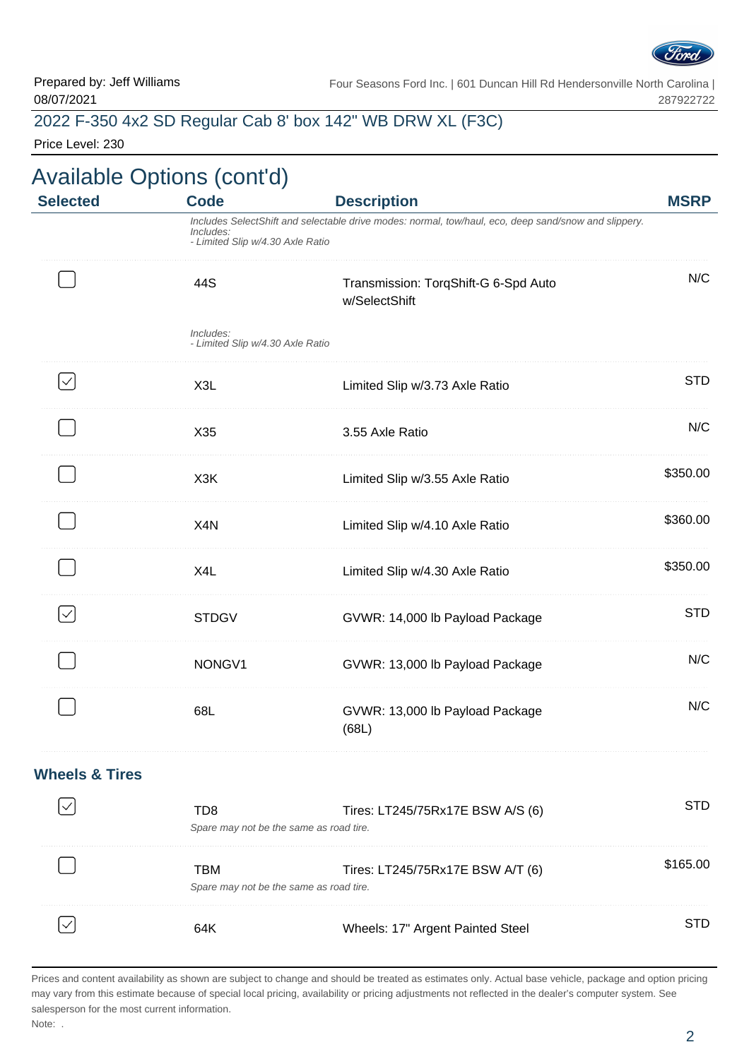

### 2022 F-350 4x2 SD Regular Cab 8' box 142" WB DRW XL (F3C)

Price Level: 230

| <b>Available Options (cont'd)</b> |                                                            |                                                                                                      |             |
|-----------------------------------|------------------------------------------------------------|------------------------------------------------------------------------------------------------------|-------------|
| <b>Selected</b>                   | <b>Code</b>                                                | <b>Description</b>                                                                                   | <b>MSRP</b> |
|                                   | Includes:<br>- Limited Slip w/4.30 Axle Ratio              | Includes SelectShift and selectable drive modes: normal, tow/haul, eco, deep sand/snow and slippery. |             |
|                                   | 44S                                                        | Transmission: TorqShift-G 6-Spd Auto<br>w/SelectShift                                                | N/C         |
|                                   | Includes:<br>- Limited Slip w/4.30 Axle Ratio              |                                                                                                      |             |
| $\checkmark$                      | X3L                                                        | Limited Slip w/3.73 Axle Ratio                                                                       | <b>STD</b>  |
|                                   | X35                                                        | 3.55 Axle Ratio                                                                                      | N/C         |
|                                   | X <sub>3</sub> K                                           | Limited Slip w/3.55 Axle Ratio                                                                       | \$350.00    |
|                                   | X <sub>4</sub> N                                           | Limited Slip w/4.10 Axle Ratio                                                                       | \$360.00    |
|                                   | X4L                                                        | Limited Slip w/4.30 Axle Ratio                                                                       | \$350.00    |
| $\checkmark$                      | <b>STDGV</b>                                               | GVWR: 14,000 lb Payload Package                                                                      | <b>STD</b>  |
|                                   | NONGV1                                                     | GVWR: 13,000 lb Payload Package                                                                      | N/C         |
|                                   | 68L                                                        | GVWR: 13,000 lb Payload Package<br>(68L)                                                             | N/C         |
| <b>Wheels &amp; Tires</b>         |                                                            |                                                                                                      |             |
|                                   | TD <sub>8</sub><br>Spare may not be the same as road tire. | Tires: LT245/75Rx17E BSW A/S (6)                                                                     | <b>STD</b>  |
|                                   | <b>TBM</b><br>Spare may not be the same as road tire.      | Tires: LT245/75Rx17E BSW A/T (6)                                                                     | \$165.00    |
|                                   | 64K                                                        | Wheels: 17" Argent Painted Steel                                                                     | <b>STD</b>  |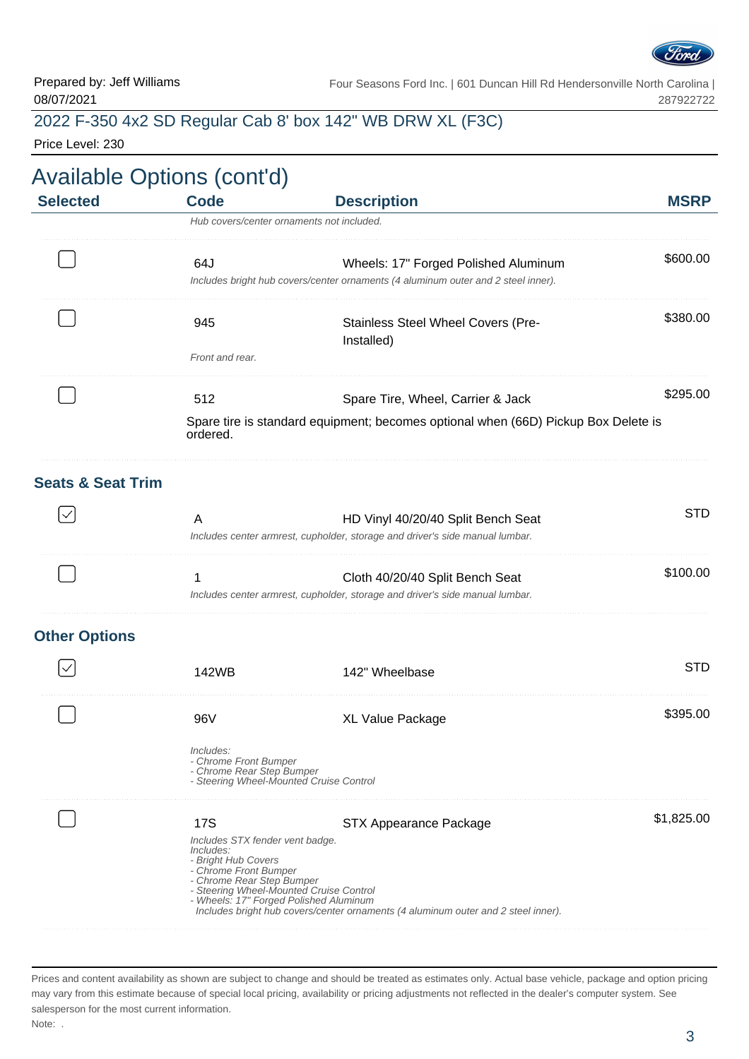

## 2022 F-350 4x2 SD Regular Cab 8' box 142" WB DRW XL (F3C)

Price Level: 230

|                 | <b>Available Options (cont'd)</b> |                                                                                    |             |
|-----------------|-----------------------------------|------------------------------------------------------------------------------------|-------------|
| <b>Selected</b> | Code                              | <b>Description</b>                                                                 | <b>MSRP</b> |
|                 |                                   | Hub covers/center ornaments not included.                                          |             |
|                 | 64J                               | Wheels: 17" Forged Polished Aluminum                                               | \$600.00    |
|                 |                                   | Includes bright hub covers/center ornaments (4 aluminum outer and 2 steel inner).  |             |
|                 | 945                               | <b>Stainless Steel Wheel Covers (Pre-</b>                                          | \$380.00    |
|                 |                                   | (Installed                                                                         |             |
|                 | Front and rear.                   |                                                                                    |             |
|                 | 512                               | Spare Tire, Wheel, Carrier & Jack                                                  | \$295.00    |
|                 | ordered.                          | Spare tire is standard equipment; becomes optional when (66D) Pickup Box Delete is |             |

#### **Seats & Seat Trim**

|  | HD Vinyl 40/20/40 Split Bench Seat                                           |  |
|--|------------------------------------------------------------------------------|--|
|  | Includes center armrest, cupholder, storage and driver's side manual lumbar. |  |
|  | Cloth 40/20/40 Split Bench Seat                                              |  |
|  | Includes center armrest, cupholder, storage and driver's side manual lumbar. |  |
|  |                                                                              |  |

#### **Other Options**

| 2WB                                                                                                                                                                                                                   | 142" Wheelbase                                                                                              | $\Box$     |
|-----------------------------------------------------------------------------------------------------------------------------------------------------------------------------------------------------------------------|-------------------------------------------------------------------------------------------------------------|------------|
| 96V                                                                                                                                                                                                                   | XL Value Package                                                                                            | \$395.00   |
| Includes:<br>- Chrome Front Bumper<br>- Chrome Rear Step Bumper<br>- Steering Wheel-Mounted Cruise Control                                                                                                            |                                                                                                             |            |
| 17S<br>Includes STX fender vent badge.<br>Includes:<br>- Bright Hub Covers<br>- Chrome Front Bumper<br>- Chrome Rear Step Bumper<br>- Steering Wheel-Mounted Cruise Control<br>- Wheels: 17" Forged Polished Aluminum | STX Appearance Package<br>Includes bright hub covers/center ornaments (4 aluminum outer and 2 steel inner). | \$1,825.00 |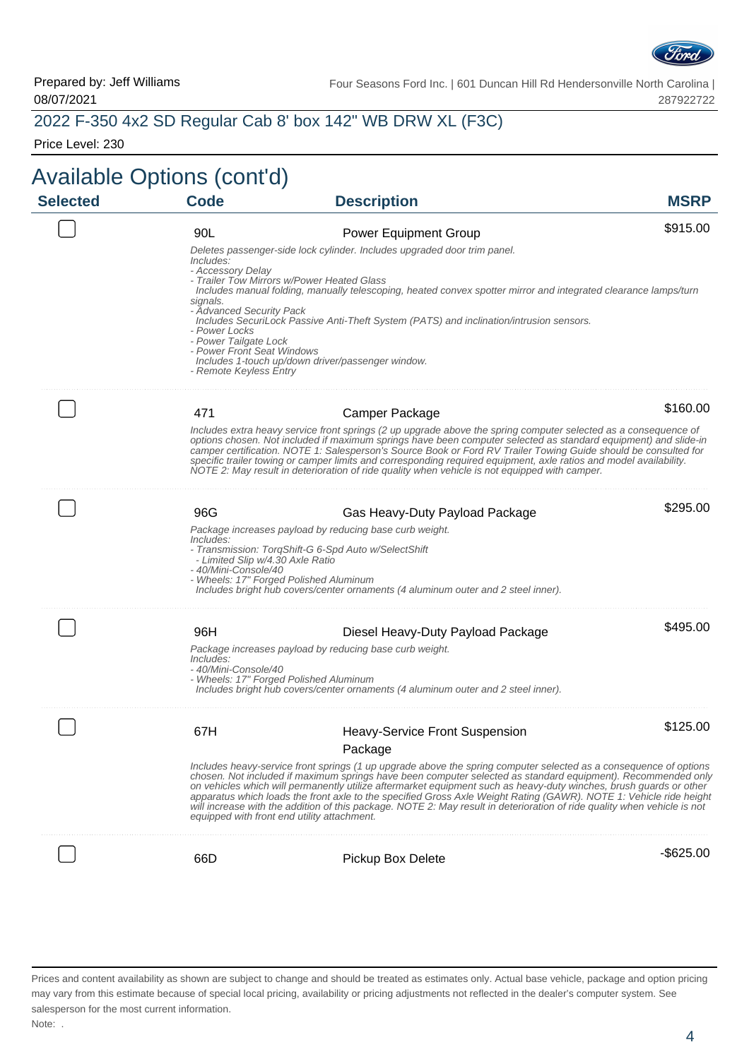

### 2022 F-350 4x2 SD Regular Cab 8' box 142" WB DRW XL (F3C)

Price Level: 230

| <b>MSRP</b>  |                                                                                                                                                                                                                                                                                                                                                                                                                                                                                                                                                                                                                                                          | <b>Code</b>                                                                                      | <b>Available Options (cont'd)</b><br><b>Selected</b> |
|--------------|----------------------------------------------------------------------------------------------------------------------------------------------------------------------------------------------------------------------------------------------------------------------------------------------------------------------------------------------------------------------------------------------------------------------------------------------------------------------------------------------------------------------------------------------------------------------------------------------------------------------------------------------------------|--------------------------------------------------------------------------------------------------|------------------------------------------------------|
|              | <b>Description</b>                                                                                                                                                                                                                                                                                                                                                                                                                                                                                                                                                                                                                                       |                                                                                                  |                                                      |
| \$915.00     | <b>Power Equipment Group</b>                                                                                                                                                                                                                                                                                                                                                                                                                                                                                                                                                                                                                             | 90L                                                                                              |                                                      |
|              | Deletes passenger-side lock cylinder. Includes upgraded door trim panel.                                                                                                                                                                                                                                                                                                                                                                                                                                                                                                                                                                                 | Includes:                                                                                        |                                                      |
|              | - Trailer Tow Mirrors w/Power Heated Glass<br>Includes manual folding, manually telescoping, heated convex spotter mirror and integrated clearance lamps/turn                                                                                                                                                                                                                                                                                                                                                                                                                                                                                            | - Accessory Delay<br>signals.                                                                    |                                                      |
|              | Includes SecuriLock Passive Anti-Theft System (PATS) and inclination/intrusion sensors.<br>Includes 1-touch up/down driver/passenger window.                                                                                                                                                                                                                                                                                                                                                                                                                                                                                                             | - Advanced Security Pack<br>- Power Locks<br>- Power Tailgate Lock<br>- Power Front Seat Windows |                                                      |
|              |                                                                                                                                                                                                                                                                                                                                                                                                                                                                                                                                                                                                                                                          | - Remote Keyless Entry                                                                           |                                                      |
| \$160.00     |                                                                                                                                                                                                                                                                                                                                                                                                                                                                                                                                                                                                                                                          |                                                                                                  |                                                      |
|              | Camper Package                                                                                                                                                                                                                                                                                                                                                                                                                                                                                                                                                                                                                                           | 471                                                                                              |                                                      |
|              | Includes extra heavy service front springs (2 up upgrade above the spring computer selected as a consequence of<br>options chosen. Not included if maximum springs have been computer selected as standard equipment) and slide-in<br>camper certification. NOTE 1: Salesperson's Source Book or Ford RV Trailer Towing Guide should be consulted for<br>specific trailer towing or camper limits and corresponding required equipment, axle ratios and model availability.<br>NOTE 2: May result in deterioration of ride quality when vehicle is not equipped with camper.                                                                             |                                                                                                  |                                                      |
| \$295.00     | Gas Heavy-Duty Payload Package                                                                                                                                                                                                                                                                                                                                                                                                                                                                                                                                                                                                                           | 96G                                                                                              |                                                      |
|              | Package increases payload by reducing base curb weight.                                                                                                                                                                                                                                                                                                                                                                                                                                                                                                                                                                                                  | Includes:                                                                                        |                                                      |
|              | - Transmission: TorqShift-G 6-Spd Auto w/SelectShift<br>- Wheels: 17" Forged Polished Aluminum                                                                                                                                                                                                                                                                                                                                                                                                                                                                                                                                                           | - Limited Slip w/4.30 Axle Ratio<br>- 40/Mini-Console/40                                         |                                                      |
|              | Includes bright hub covers/center ornaments (4 aluminum outer and 2 steel inner).                                                                                                                                                                                                                                                                                                                                                                                                                                                                                                                                                                        |                                                                                                  |                                                      |
| \$495.00     |                                                                                                                                                                                                                                                                                                                                                                                                                                                                                                                                                                                                                                                          |                                                                                                  |                                                      |
|              | Diesel Heavy-Duty Payload Package                                                                                                                                                                                                                                                                                                                                                                                                                                                                                                                                                                                                                        | 96H                                                                                              |                                                      |
|              | Package increases payload by reducing base curb weight.<br>- Wheels: 17" Forged Polished Aluminum                                                                                                                                                                                                                                                                                                                                                                                                                                                                                                                                                        | Includes:<br>- 40/Mini-Console/40                                                                |                                                      |
|              | Includes bright hub covers/center ornaments (4 aluminum outer and 2 steel inner).                                                                                                                                                                                                                                                                                                                                                                                                                                                                                                                                                                        |                                                                                                  |                                                      |
| \$125.00     | <b>Heavy-Service Front Suspension</b>                                                                                                                                                                                                                                                                                                                                                                                                                                                                                                                                                                                                                    | 67 H                                                                                             |                                                      |
|              | Package                                                                                                                                                                                                                                                                                                                                                                                                                                                                                                                                                                                                                                                  |                                                                                                  |                                                      |
|              | Includes heavy-service front springs (1 up upgrade above the spring computer selected as a consequence of options<br>chosen. Not included if maximum springs have been computer selected as standard equipment). Recommended only<br>on vehicles which will permanently utilize aftermarket equipment such as heavy-duty winches, brush guards or other<br>apparatus which loads the front axle to the specified Gross Axle Weight Rating (GAWR). NOTE 1: Vehicle ride height<br>will increase with the addition of this package. NOTE 2: May result in deterioration of ride quality when vehicle is not<br>equipped with front end utility attachment. |                                                                                                  |                                                      |
|              |                                                                                                                                                                                                                                                                                                                                                                                                                                                                                                                                                                                                                                                          |                                                                                                  |                                                      |
| $-$ \$625.00 | Pickup Box Delete                                                                                                                                                                                                                                                                                                                                                                                                                                                                                                                                                                                                                                        | 66D                                                                                              |                                                      |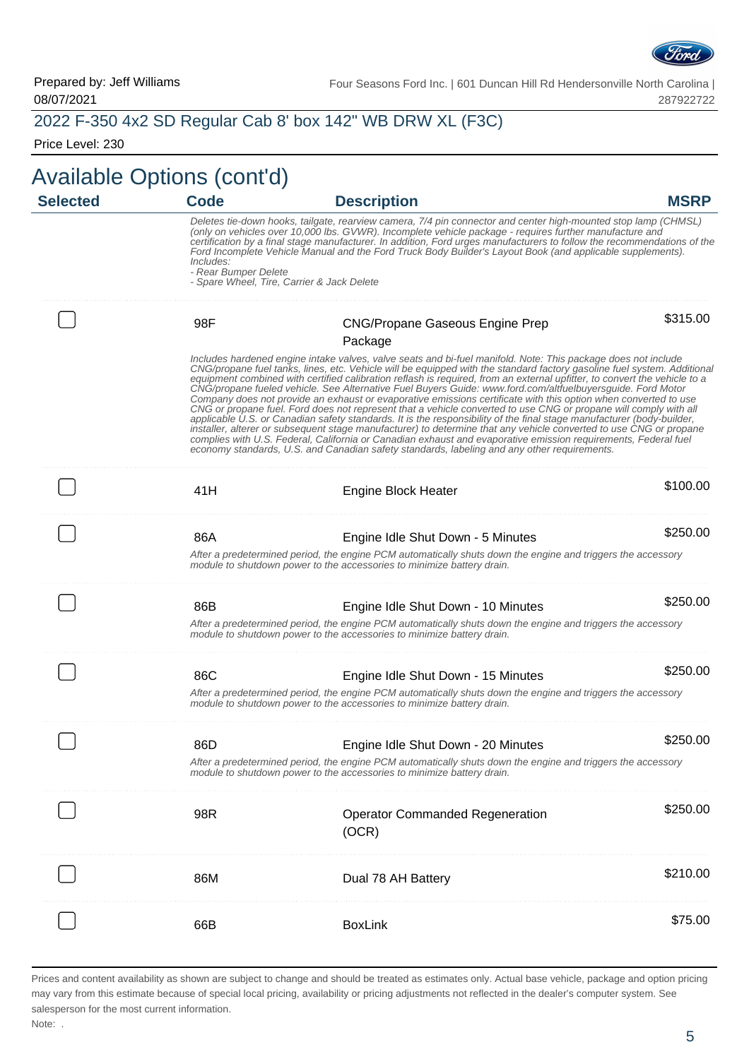

#### 2022 F-350 4x2 SD Regular Cab 8' box 142" WB DRW XL (F3C)

Price Level: 230

## Available Options (cont'd)

| <b>Selected</b> | <b>Code</b>                       | <b>Description</b>                                                                                                                                                                                                                                                                                                                                                                                                                                                                                                                                                                                                                                                                                                                                                                                                                                                                                                                                                                                                                                                                                                                                                                         | <b>MSRP</b> |
|-----------------|-----------------------------------|--------------------------------------------------------------------------------------------------------------------------------------------------------------------------------------------------------------------------------------------------------------------------------------------------------------------------------------------------------------------------------------------------------------------------------------------------------------------------------------------------------------------------------------------------------------------------------------------------------------------------------------------------------------------------------------------------------------------------------------------------------------------------------------------------------------------------------------------------------------------------------------------------------------------------------------------------------------------------------------------------------------------------------------------------------------------------------------------------------------------------------------------------------------------------------------------|-------------|
|                 | Includes:<br>- Rear Bumper Delete | Deletes tie-down hooks, tailgate, rearview camera, 7/4 pin connector and center high-mounted stop lamp (CHMSL)<br>(only on vehicles over 10,000 lbs. GVWR). Incomplete vehicle package - requires further manufacture and<br>certification by a final stage manufacturer. In addition, Ford urges manufacturers to follow the recommendations of the<br>Ford Incomplete Vehicle Manual and the Ford Truck Body Builder's Layout Book (and applicable supplements).<br>- Spare Wheel, Tire, Carrier & Jack Delete                                                                                                                                                                                                                                                                                                                                                                                                                                                                                                                                                                                                                                                                           |             |
|                 | 98F                               | <b>CNG/Propane Gaseous Engine Prep</b>                                                                                                                                                                                                                                                                                                                                                                                                                                                                                                                                                                                                                                                                                                                                                                                                                                                                                                                                                                                                                                                                                                                                                     | \$315.00    |
|                 |                                   | Package                                                                                                                                                                                                                                                                                                                                                                                                                                                                                                                                                                                                                                                                                                                                                                                                                                                                                                                                                                                                                                                                                                                                                                                    |             |
|                 |                                   | Includes hardened engine intake valves, valve seats and bi-fuel manifold. Note: This package does not include<br>CNG/propane fuel tanks, lines, etc. Vehicle will be equipped with the standard factory gasoline fuel system. Additional<br>equipment combined with certified calibration reflash is required, from an external upfitter, to convert the vehicle to a<br>CNG/propane fueled vehicle. See Alternative Fuel Buyers Guide: www.ford.com/altfuelbuyersguide. Ford Motor<br>Company does not provide an exhaust or evaporative emissions certificate with this option when converted to use<br>CNG or propane fuel. Ford does not represent that a vehicle converted to use CNG or propane will comply with all<br>applicable U.S. or Canadian safety standards. It is the responsibility of the final stage manufacturer (body-builder,<br>installer, alterer or subsequent stage manufacturer) to determine that any vehicle converted to use CNG or propane<br>complies with U.S. Federal, California or Canadian exhaust and evaporative emission requirements, Federal fuel<br>economy standards, U.S. and Canadian safety standards, labeling and any other requirements. |             |
|                 | 41H                               | <b>Engine Block Heater</b>                                                                                                                                                                                                                                                                                                                                                                                                                                                                                                                                                                                                                                                                                                                                                                                                                                                                                                                                                                                                                                                                                                                                                                 | \$100.00    |
|                 | 86A                               | Engine Idle Shut Down - 5 Minutes                                                                                                                                                                                                                                                                                                                                                                                                                                                                                                                                                                                                                                                                                                                                                                                                                                                                                                                                                                                                                                                                                                                                                          | \$250.00    |
|                 |                                   | After a predetermined period, the engine PCM automatically shuts down the engine and triggers the accessory<br>module to shutdown power to the accessories to minimize battery drain.                                                                                                                                                                                                                                                                                                                                                                                                                                                                                                                                                                                                                                                                                                                                                                                                                                                                                                                                                                                                      |             |
|                 | 86B                               | Engine Idle Shut Down - 10 Minutes                                                                                                                                                                                                                                                                                                                                                                                                                                                                                                                                                                                                                                                                                                                                                                                                                                                                                                                                                                                                                                                                                                                                                         | \$250.00    |
|                 |                                   | After a predetermined period, the engine PCM automatically shuts down the engine and triggers the accessory<br>module to shutdown power to the accessories to minimize battery drain.                                                                                                                                                                                                                                                                                                                                                                                                                                                                                                                                                                                                                                                                                                                                                                                                                                                                                                                                                                                                      |             |
|                 | 86C                               | Engine Idle Shut Down - 15 Minutes                                                                                                                                                                                                                                                                                                                                                                                                                                                                                                                                                                                                                                                                                                                                                                                                                                                                                                                                                                                                                                                                                                                                                         | \$250.00    |
|                 |                                   | After a predetermined period, the engine PCM automatically shuts down the engine and triggers the accessory<br>module to shutdown power to the accessories to minimize battery drain.                                                                                                                                                                                                                                                                                                                                                                                                                                                                                                                                                                                                                                                                                                                                                                                                                                                                                                                                                                                                      |             |
|                 | 86D                               | Engine Idle Shut Down - 20 Minutes                                                                                                                                                                                                                                                                                                                                                                                                                                                                                                                                                                                                                                                                                                                                                                                                                                                                                                                                                                                                                                                                                                                                                         | \$250.00    |
|                 |                                   | After a predetermined period, the engine PCM automatically shuts down the engine and triggers the accessory<br>module to shutdown power to the accessories to minimize battery drain.                                                                                                                                                                                                                                                                                                                                                                                                                                                                                                                                                                                                                                                                                                                                                                                                                                                                                                                                                                                                      |             |
|                 | 98R                               | <b>Operator Commanded Regeneration</b><br>(OCR)                                                                                                                                                                                                                                                                                                                                                                                                                                                                                                                                                                                                                                                                                                                                                                                                                                                                                                                                                                                                                                                                                                                                            | \$250.00    |
|                 | 86M                               | Dual 78 AH Battery                                                                                                                                                                                                                                                                                                                                                                                                                                                                                                                                                                                                                                                                                                                                                                                                                                                                                                                                                                                                                                                                                                                                                                         | \$210.00    |
|                 | 66B                               | <b>BoxLink</b>                                                                                                                                                                                                                                                                                                                                                                                                                                                                                                                                                                                                                                                                                                                                                                                                                                                                                                                                                                                                                                                                                                                                                                             | \$75.00     |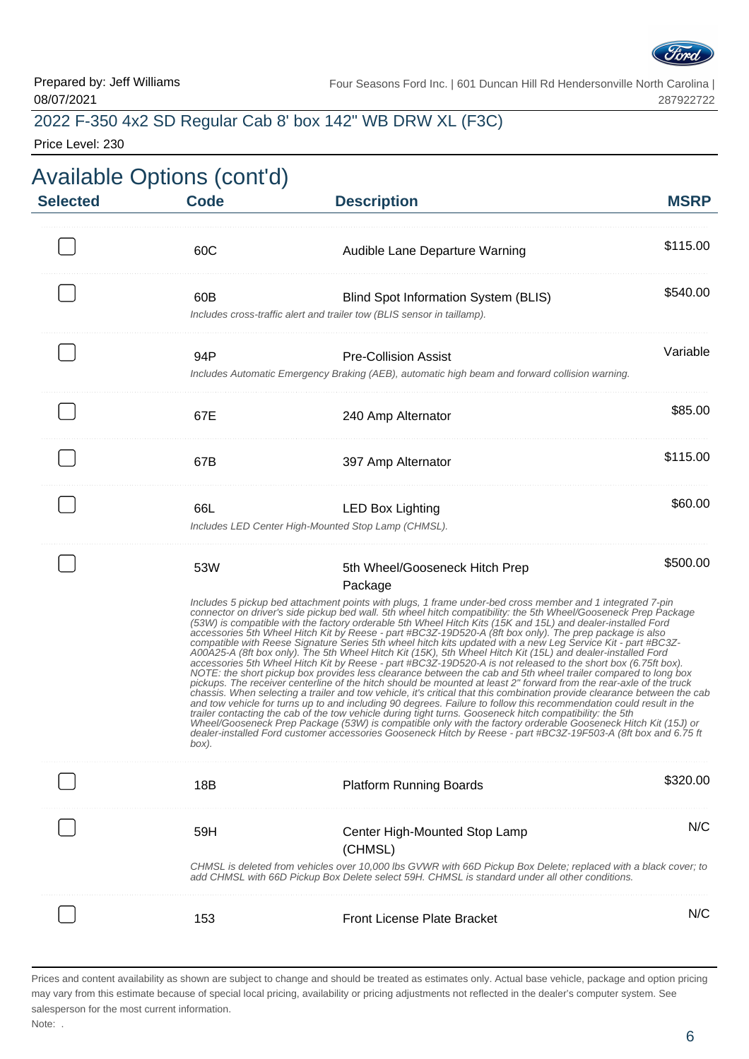

### 2022 F-350 4x2 SD Regular Cab 8' box 142" WB DRW XL (F3C)

Price Level: 230

| <b>Selected</b> | <b>Available Options (cont'd)</b><br><b>Code</b> | <b>Description</b>                                                                                                                                                                                                                                                                                                                                                                                                                                                                                                                                                                                                                                                                                                                                                                                                                                                                                                                                                                                                                                                                                                                                                                                                                                                                                                                                                                                                                                                                                                                                                                                                                                                                            | <b>MSRP</b> |
|-----------------|--------------------------------------------------|-----------------------------------------------------------------------------------------------------------------------------------------------------------------------------------------------------------------------------------------------------------------------------------------------------------------------------------------------------------------------------------------------------------------------------------------------------------------------------------------------------------------------------------------------------------------------------------------------------------------------------------------------------------------------------------------------------------------------------------------------------------------------------------------------------------------------------------------------------------------------------------------------------------------------------------------------------------------------------------------------------------------------------------------------------------------------------------------------------------------------------------------------------------------------------------------------------------------------------------------------------------------------------------------------------------------------------------------------------------------------------------------------------------------------------------------------------------------------------------------------------------------------------------------------------------------------------------------------------------------------------------------------------------------------------------------------|-------------|
|                 |                                                  |                                                                                                                                                                                                                                                                                                                                                                                                                                                                                                                                                                                                                                                                                                                                                                                                                                                                                                                                                                                                                                                                                                                                                                                                                                                                                                                                                                                                                                                                                                                                                                                                                                                                                               |             |
|                 | 60C                                              | Audible Lane Departure Warning                                                                                                                                                                                                                                                                                                                                                                                                                                                                                                                                                                                                                                                                                                                                                                                                                                                                                                                                                                                                                                                                                                                                                                                                                                                                                                                                                                                                                                                                                                                                                                                                                                                                | \$115.00    |
|                 | 60B                                              | Blind Spot Information System (BLIS)<br>Includes cross-traffic alert and trailer tow (BLIS sensor in taillamp).                                                                                                                                                                                                                                                                                                                                                                                                                                                                                                                                                                                                                                                                                                                                                                                                                                                                                                                                                                                                                                                                                                                                                                                                                                                                                                                                                                                                                                                                                                                                                                               | \$540.00    |
|                 | 94P                                              | <b>Pre-Collision Assist</b><br>Includes Automatic Emergency Braking (AEB), automatic high beam and forward collision warning.                                                                                                                                                                                                                                                                                                                                                                                                                                                                                                                                                                                                                                                                                                                                                                                                                                                                                                                                                                                                                                                                                                                                                                                                                                                                                                                                                                                                                                                                                                                                                                 | Variable    |
|                 | 67E                                              | 240 Amp Alternator                                                                                                                                                                                                                                                                                                                                                                                                                                                                                                                                                                                                                                                                                                                                                                                                                                                                                                                                                                                                                                                                                                                                                                                                                                                                                                                                                                                                                                                                                                                                                                                                                                                                            | \$85.00     |
|                 | 67B                                              | 397 Amp Alternator                                                                                                                                                                                                                                                                                                                                                                                                                                                                                                                                                                                                                                                                                                                                                                                                                                                                                                                                                                                                                                                                                                                                                                                                                                                                                                                                                                                                                                                                                                                                                                                                                                                                            | \$115.00    |
|                 | 66L                                              | <b>LED Box Lighting</b><br>Includes LED Center High-Mounted Stop Lamp (CHMSL).                                                                                                                                                                                                                                                                                                                                                                                                                                                                                                                                                                                                                                                                                                                                                                                                                                                                                                                                                                                                                                                                                                                                                                                                                                                                                                                                                                                                                                                                                                                                                                                                                | \$60.00     |
|                 | 53W<br>box).                                     | 5th Wheel/Gooseneck Hitch Prep<br>Package<br>Includes 5 pickup bed attachment points with plugs, 1 frame under-bed cross member and 1 integrated 7-pin<br>connector on driver's side pickup bed wall. 5th wheel hitch compatibility: the 5th Wheel/Gooseneck Prep Package<br>(53W) is compatible with the factory orderable 5th Wheel Hitch Kits (15K and 15L) and dealer-installed Ford<br>accessories 5th Wheel Hitch Kit by Reese - part #BC3Z-19D520-A (8ft box only). The prep package is also<br>compatible with Reese Signature Series 5th wheel hitch kits updated with a new Leg Service Kit - part #BC3Z-<br>A00A25-A (8ft box only). The 5th Wheel Hitch Kit (15K), 5th Wheel Hitch Kit (15L) and dealer-installed Ford<br>accessories 5th Wheel Hitch Kit by Reese - part #BC32-19D520-A is not released to the short box (6.75ft box).<br>NOTE: the short pickup box provides less clearance between the cab and 5th wheel trailer compared to long box<br>pickups. The receiver centerline of the hitch should be mounted at least 2" forward from the rear-axle of the truck<br>chassis. When selecting a trailer and tow vehicle, it's critical that this combination provide clearance between the cab<br>and tow vehicle for turns up to and including 90 degrees. Failure to follow this recommendation could result in the<br>trailer contacting the cab of the tow vehicle during tight turns. Gooseneck hitch compatibility: the 5th<br>Wheel/Gooseneck Prep Package (53W) is compatible only with the factory orderable Gooseneck Hitch Kit (15J) or<br>dealer-installed Ford customer accessories Gooseneck Hitch by Reese - part #BC3Z-19F503-A (8ft box and 6.75 ft | \$500.00    |
|                 | 18B                                              | <b>Platform Running Boards</b>                                                                                                                                                                                                                                                                                                                                                                                                                                                                                                                                                                                                                                                                                                                                                                                                                                                                                                                                                                                                                                                                                                                                                                                                                                                                                                                                                                                                                                                                                                                                                                                                                                                                | \$320.00    |
|                 | 59H                                              | Center High-Mounted Stop Lamp<br>(CHMSL)<br>CHMSL is deleted from vehicles over 10,000 lbs GVWR with 66D Pickup Box Delete; replaced with a black cover; to<br>add CHMSL with 66D Pickup Box Delete select 59H. CHMSL is standard under all other conditions.                                                                                                                                                                                                                                                                                                                                                                                                                                                                                                                                                                                                                                                                                                                                                                                                                                                                                                                                                                                                                                                                                                                                                                                                                                                                                                                                                                                                                                 | N/C         |
|                 | 153                                              | <b>Front License Plate Bracket</b>                                                                                                                                                                                                                                                                                                                                                                                                                                                                                                                                                                                                                                                                                                                                                                                                                                                                                                                                                                                                                                                                                                                                                                                                                                                                                                                                                                                                                                                                                                                                                                                                                                                            | N/C         |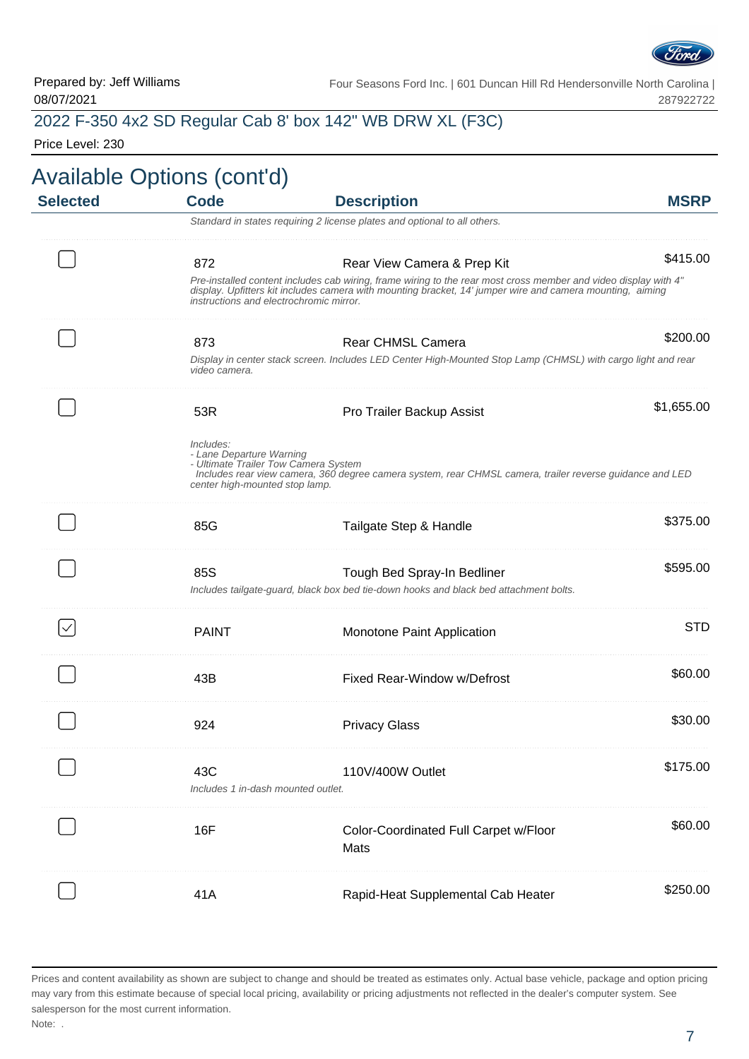

### 2022 F-350 4x2 SD Regular Cab 8' box 142" WB DRW XL (F3C)

Price Level: 230

| <b>MSRP</b> | <b>Description</b>                                                                                                                                                                                                           | <b>Code</b>                                                                                                     | <b>Selected</b> |
|-------------|------------------------------------------------------------------------------------------------------------------------------------------------------------------------------------------------------------------------------|-----------------------------------------------------------------------------------------------------------------|-----------------|
|             | Standard in states requiring 2 license plates and optional to all others.                                                                                                                                                    |                                                                                                                 |                 |
| \$415.00    | Rear View Camera & Prep Kit                                                                                                                                                                                                  | 872                                                                                                             |                 |
|             | Pre-installed content includes cab wiring, frame wiring to the rear most cross member and video display with 4"<br>display. Upfitters kit includes camera with mounting bracket, 14' jumper wire and camera mounting, aiming | instructions and electrochromic mirror.                                                                         |                 |
| \$200.00    | <b>Rear CHMSL Camera</b>                                                                                                                                                                                                     | 873                                                                                                             |                 |
|             | Display in center stack screen. Includes LED Center High-Mounted Stop Lamp (CHMSL) with cargo light and rear                                                                                                                 | video camera.                                                                                                   |                 |
| \$1,655.00  | Pro Trailer Backup Assist                                                                                                                                                                                                    | 53R                                                                                                             |                 |
|             | Includes rear view camera, 360 degree camera system, rear CHMSL camera, trailer reverse guidance and LED                                                                                                                     | Includes:<br>- Lane Departure Warning<br>- Ultimate Trailer Tow Camera System<br>center high-mounted stop lamp. |                 |
| \$375.00    | Tailgate Step & Handle                                                                                                                                                                                                       | 85G                                                                                                             |                 |
| \$595.00    | Tough Bed Spray-In Bedliner<br>Includes tailgate-guard, black box bed tie-down hooks and black bed attachment bolts.                                                                                                         | 85S                                                                                                             |                 |
| <b>STD</b>  | Monotone Paint Application                                                                                                                                                                                                   | <b>PAINT</b>                                                                                                    |                 |
| \$60.00     | Fixed Rear-Window w/Defrost                                                                                                                                                                                                  | 43B                                                                                                             |                 |
| \$30.00     | <b>Privacy Glass</b>                                                                                                                                                                                                         | 924                                                                                                             |                 |
| \$175.00    | 110V/400W Outlet                                                                                                                                                                                                             | 43C<br>Includes 1 in-dash mounted outlet.                                                                       |                 |
| \$60.00     | Color-Coordinated Full Carpet w/Floor<br>Mats                                                                                                                                                                                | 16F                                                                                                             |                 |
| \$250.00    | Rapid-Heat Supplemental Cab Heater                                                                                                                                                                                           | 41A                                                                                                             |                 |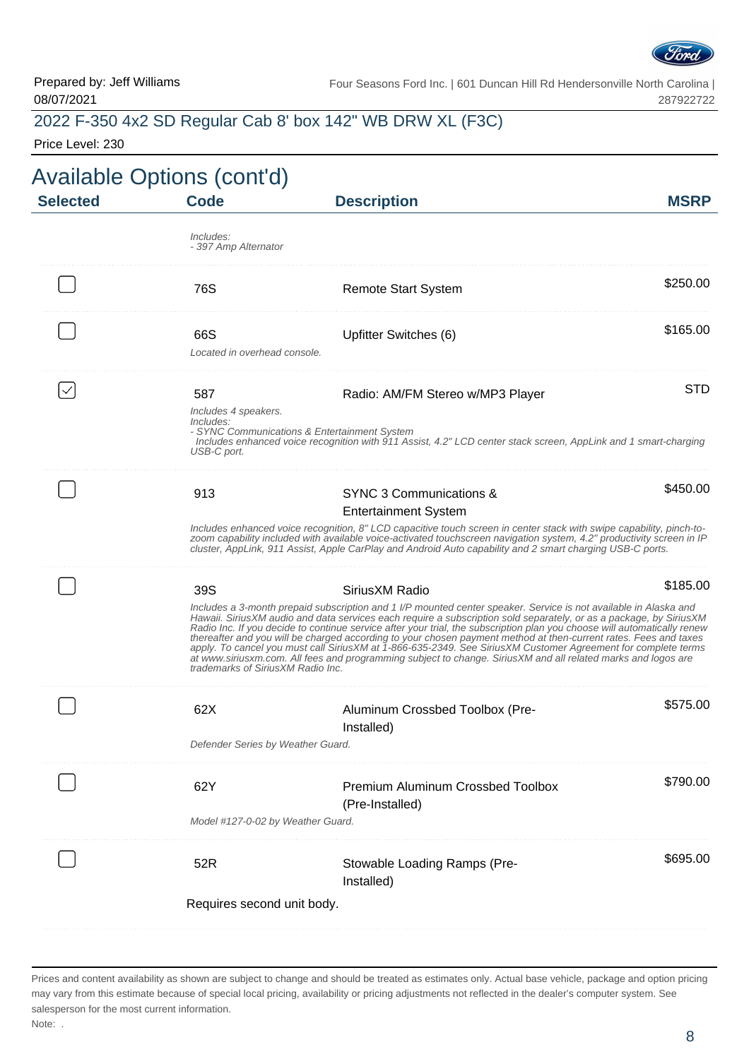

### 2022 F-350 4x2 SD Regular Cab 8' box 142" WB DRW XL (F3C)

Price Level: 230

| <b>Selected</b> | Available Options (cont'd)<br><b>Code</b>               | <b>Description</b>                                                                                                                                                                                                                                                                                                                                                                                                                                                                                                                                                                                                                                                                                                                          | <b>MSRP</b> |
|-----------------|---------------------------------------------------------|---------------------------------------------------------------------------------------------------------------------------------------------------------------------------------------------------------------------------------------------------------------------------------------------------------------------------------------------------------------------------------------------------------------------------------------------------------------------------------------------------------------------------------------------------------------------------------------------------------------------------------------------------------------------------------------------------------------------------------------------|-------------|
|                 | Includes:<br>- 397 Amp Alternator                       |                                                                                                                                                                                                                                                                                                                                                                                                                                                                                                                                                                                                                                                                                                                                             |             |
|                 | 76S                                                     | <b>Remote Start System</b>                                                                                                                                                                                                                                                                                                                                                                                                                                                                                                                                                                                                                                                                                                                  | \$250.00    |
|                 | 66S<br>Located in overhead console.                     | Upfitter Switches (6)                                                                                                                                                                                                                                                                                                                                                                                                                                                                                                                                                                                                                                                                                                                       | \$165.00    |
|                 | 587<br>Includes 4 speakers.<br>Includes:<br>USB-C port. | Radio: AM/FM Stereo w/MP3 Player<br>- SYNC Communications & Entertainment System<br>Includes enhanced voice recognition with 911 Assist, 4.2" LCD center stack screen, AppLink and 1 smart-charging                                                                                                                                                                                                                                                                                                                                                                                                                                                                                                                                         | <b>STD</b>  |
|                 | 913                                                     | SYNC 3 Communications &<br><b>Entertainment System</b><br>Includes enhanced voice recognition, 8" LCD capacitive touch screen in center stack with swipe capability, pinch-to-<br>zoom capability included with available voice-activated touchscreen navigation system, 4.2" productivity screen in IP<br>cluster, AppLink, 911 Assist, Apple CarPlay and Android Auto capability and 2 smart charging USB-C ports.                                                                                                                                                                                                                                                                                                                        | \$450.00    |
|                 | 39S<br>trademarks of Sirius XM Radio Inc.               | Sirius XM Radio<br>Includes a 3-month prepaid subscription and 1 I/P mounted center speaker. Service is not available in Alaska and<br>Hawaii. SiriusXM audio and data services each require a subscription sold separately, or as a package, by SiriusXM<br>Radio Inc. If you decide to continue service after your trial, the subscription plan you choose will automatically renew<br>thereafter and you will be charged according to your chosen payment method at then-current rates. Fees and taxes<br>apply. To cancel you must call SiriusXM at 1-866-635-2349. See SiriusXM Customer Agreement for complete terms<br>at www.siriusxm.com. All fees and programming subject to change. SiriusXM and all related marks and logos are | \$185.00    |
|                 | 62X<br>Defender Series by Weather Guard.                | Aluminum Crossbed Toolbox (Pre-<br>Installed)                                                                                                                                                                                                                                                                                                                                                                                                                                                                                                                                                                                                                                                                                               | \$575.00    |
|                 | 62Y<br>Model #127-0-02 by Weather Guard.                | Premium Aluminum Crossbed Toolbox<br>(Pre-Installed)                                                                                                                                                                                                                                                                                                                                                                                                                                                                                                                                                                                                                                                                                        | \$790.00    |
|                 | 52R<br>Requires second unit body.                       | Stowable Loading Ramps (Pre-<br>Installed)                                                                                                                                                                                                                                                                                                                                                                                                                                                                                                                                                                                                                                                                                                  | \$695.00    |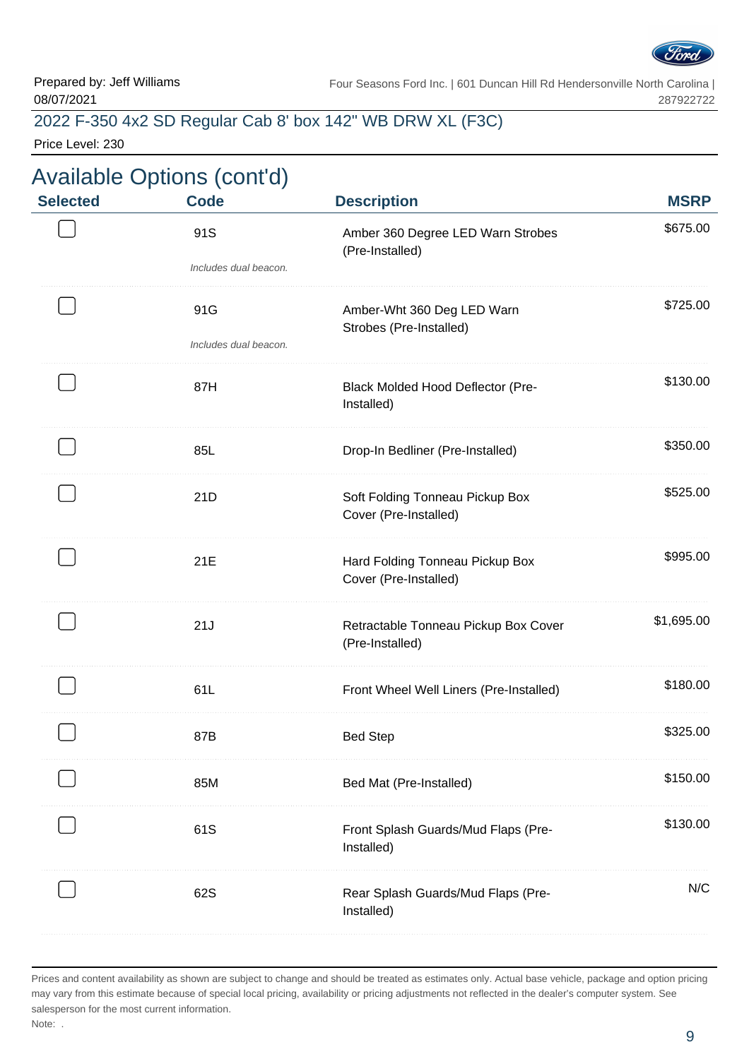

#### 2022 F-350 4x2 SD Regular Cab 8' box 142" WB DRW XL (F3C)

Price Level: 230

# Available Options (cont'd)

| <b>Selected</b> | <b>Code</b>           | <b>Description</b>                                       | <b>MSRP</b> |
|-----------------|-----------------------|----------------------------------------------------------|-------------|
|                 | 91S                   | Amber 360 Degree LED Warn Strobes<br>(Pre-Installed)     | \$675.00    |
|                 | Includes dual beacon. |                                                          |             |
|                 | 91G                   | Amber-Wht 360 Deg LED Warn<br>Strobes (Pre-Installed)    | \$725.00    |
|                 | Includes dual beacon. |                                                          |             |
|                 | 87H                   | <b>Black Molded Hood Deflector (Pre-</b><br>Installed)   | \$130.00    |
|                 | 85L                   | Drop-In Bedliner (Pre-Installed)                         | \$350.00    |
|                 | 21D                   | Soft Folding Tonneau Pickup Box<br>Cover (Pre-Installed) | \$525.00    |
|                 | 21E                   | Hard Folding Tonneau Pickup Box<br>Cover (Pre-Installed) | \$995.00    |
|                 | 21J                   | Retractable Tonneau Pickup Box Cover<br>(Pre-Installed)  | \$1,695.00  |
|                 | 61L                   | Front Wheel Well Liners (Pre-Installed)                  | \$180.00    |
|                 | 87B                   | <b>Bed Step</b>                                          | \$325.00    |
|                 | 85M                   | Bed Mat (Pre-Installed)                                  | \$150.00    |
|                 | 61S                   | Front Splash Guards/Mud Flaps (Pre-<br>Installed)        | \$130.00    |
|                 | 62S                   | Rear Splash Guards/Mud Flaps (Pre-<br>Installed)         | N/C         |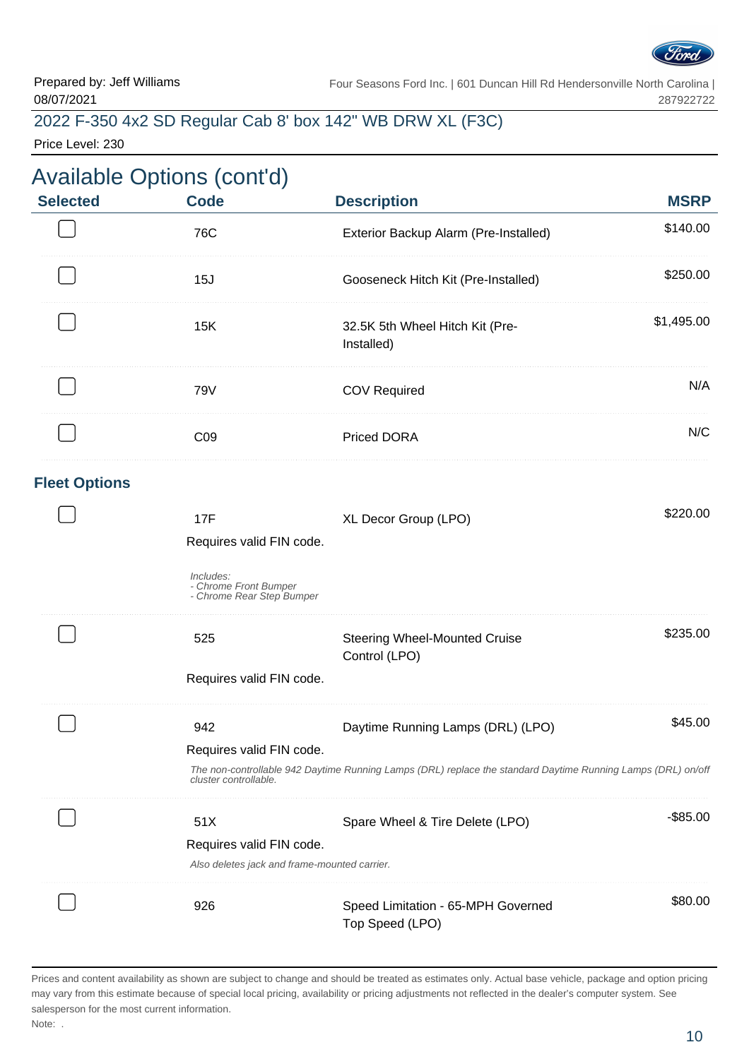

#### 2022 F-350 4x2 SD Regular Cab 8' box 142" WB DRW XL (F3C)

Price Level: 230

### Available Options (cont'd) **Selected Code Description MSRP** 76C Exterior Backup Alarm (Pre-Installed) \$140.00 . . . . . . . . . . . . . . 15J Gooseneck Hitch Kit (Pre-Installed) \$250.00 . . . . . . . . . . . . . . . . . . \$1,495.00 15K 32.5K 5th Wheel Hitch Kit (Pre-Installed) 79V COV Required **N/A** C09 Priced DORA N/C **Fleet Options** 17F State State State State State State State State State State State State State State State State State State Requires valid FIN code. Includes: - Chrome Front Bumper - Chrome Rear Step Bumper \$235.00 525 Steering Wheel-Mounted Cruise Control (LPO) Requires valid FIN code. 942 **Daytime Running Lamps (DRL) (LPO)** \$45.00 Requires valid FIN code.

The non-controllable 942 Daytime Running Lamps (DRL) replace the standard Daytime Running Lamps (DRL) on/off cluster controllable.

| 51X                      | Spare Wheel & Tire Delete (LPO)                       | \$85.00 |
|--------------------------|-------------------------------------------------------|---------|
| Requires valid FIN code. | Also deletes jack and frame-mounted carrier.          |         |
|                          |                                                       | 80.00.  |
| 926                      | Speed Limitation - 65-MPH Governed<br>Top Speed (LPO) |         |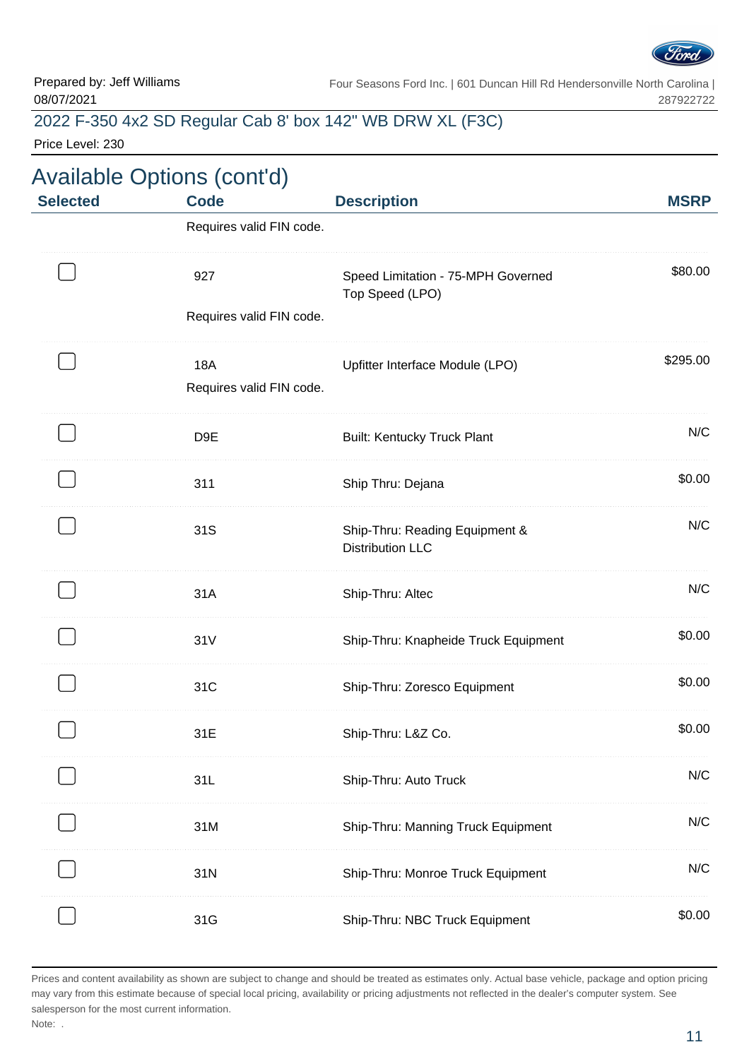

### 2022 F-350 4x2 SD Regular Cab 8' box 142" WB DRW XL (F3C)

Price Level: 230

| <b>Selected</b> | <b>Available Options (cont'd)</b> |                                                           | <b>MSRP</b> |  |
|-----------------|-----------------------------------|-----------------------------------------------------------|-------------|--|
|                 | Requires valid FIN code.          | <b>Code</b><br><b>Description</b>                         |             |  |
|                 | 927                               | Speed Limitation - 75-MPH Governed<br>Top Speed (LPO)     | \$80.00     |  |
|                 | Requires valid FIN code.          |                                                           |             |  |
|                 | 18A<br>Requires valid FIN code.   | Upfitter Interface Module (LPO)                           | \$295.00    |  |
|                 | D9E                               | <b>Built: Kentucky Truck Plant</b>                        | N/C         |  |
|                 | 311                               | Ship Thru: Dejana                                         | \$0.00      |  |
|                 | 31S                               | Ship-Thru: Reading Equipment &<br><b>Distribution LLC</b> | N/C         |  |
|                 | 31A                               | Ship-Thru: Altec                                          | N/C         |  |
|                 | 31V                               | Ship-Thru: Knapheide Truck Equipment                      | \$0.00      |  |
|                 | 31C                               | Ship-Thru: Zoresco Equipment                              | \$0.00      |  |
|                 | 31 E                              | Ship-Thru: L&Z Co.                                        | \$0.00      |  |
|                 | 31L                               | Ship-Thru: Auto Truck                                     | N/C         |  |
|                 | 31M                               | Ship-Thru: Manning Truck Equipment                        | N/C         |  |
|                 | 31N                               | Ship-Thru: Monroe Truck Equipment                         | N/C         |  |
|                 | 31G                               | Ship-Thru: NBC Truck Equipment                            | \$0.00      |  |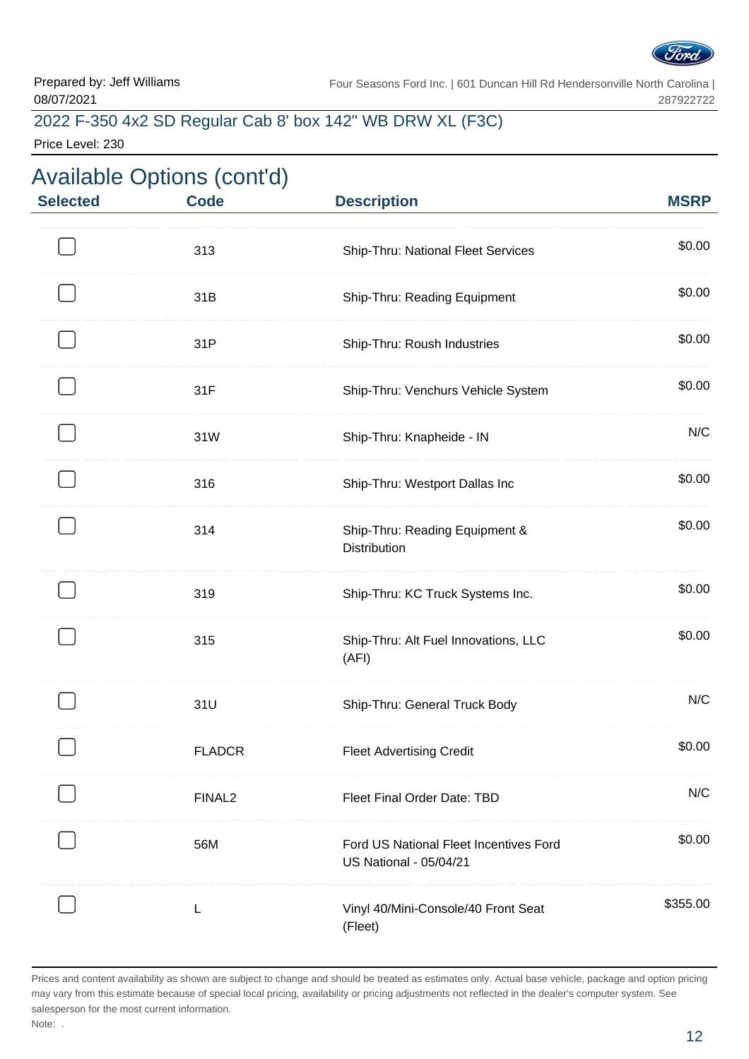

### 2022 F-350 4x2 SD Regular Cab 8' box 142" WB DRW XL (F3C)

Price Level: 230

| <b>Selected</b> | <b>Available Options (cont'd)</b><br><b>Code</b> | <b>Description</b>                                                      | <b>MSRP</b> |
|-----------------|--------------------------------------------------|-------------------------------------------------------------------------|-------------|
|                 | 313                                              | Ship-Thru: National Fleet Services                                      | \$0.00      |
|                 | 31B                                              | Ship-Thru: Reading Equipment                                            | \$0.00      |
|                 | 31P                                              | Ship-Thru: Roush Industries                                             | \$0.00      |
|                 | 31F                                              | Ship-Thru: Venchurs Vehicle System                                      | \$0.00      |
|                 | 31W                                              | Ship-Thru: Knapheide - IN                                               | N/C         |
|                 | 316                                              | Ship-Thru: Westport Dallas Inc                                          | \$0.00      |
|                 | 314                                              | Ship-Thru: Reading Equipment &<br><b>Distribution</b>                   | \$0.00      |
|                 | 319                                              | Ship-Thru: KC Truck Systems Inc.                                        | \$0.00      |
|                 | 315                                              | Ship-Thru: Alt Fuel Innovations, LLC<br>(AFI)                           | \$0.00      |
|                 | 31U                                              | Ship-Thru: General Truck Body                                           | N/C         |
|                 | <b>FLADCR</b>                                    | <b>Fleet Advertising Credit</b>                                         | \$0.00      |
|                 | FINAL <sub>2</sub>                               | Fleet Final Order Date: TBD                                             | N/C         |
|                 | 56M                                              | Ford US National Fleet Incentives Ford<br><b>US National - 05/04/21</b> | \$0.00      |
|                 |                                                  | Vinyl 40/Mini-Console/40 Front Seat<br>(Fleet)                          | \$355.00    |